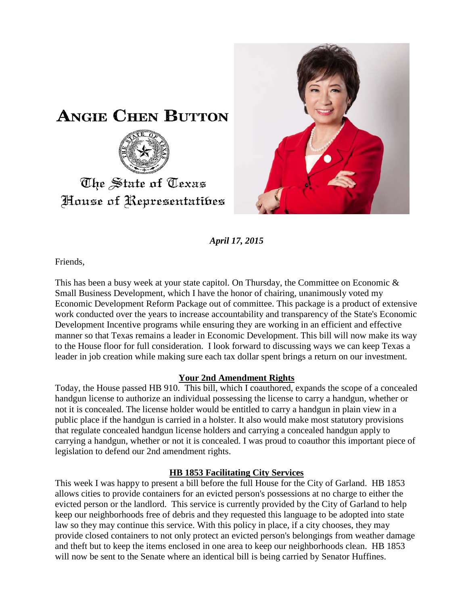



*April 17, 2015*

Friends,

This has been a busy week at your state capitol. On Thursday, the Committee on Economic & Small Business Development, which I have the honor of chairing, unanimously voted my Economic Development Reform Package out of committee. This package is a product of extensive work conducted over the years to increase accountability and transparency of the State's Economic Development Incentive programs while ensuring they are working in an efficient and effective manner so that Texas remains a leader in Economic Development. This bill will now make its way to the House floor for full consideration. I look forward to discussing ways we can keep Texas a leader in job creation while making sure each tax dollar spent brings a return on our investment.

## **Your 2nd Amendment Rights**

Today, the House passed HB 910. This bill, which I coauthored, expands the scope of a concealed handgun license to authorize an individual possessing the license to carry a handgun, whether or not it is concealed. The license holder would be entitled to carry a handgun in plain view in a public place if the handgun is carried in a holster. It also would make most statutory provisions that regulate concealed handgun license holders and carrying a concealed handgun apply to carrying a handgun, whether or not it is concealed. I was proud to coauthor this important piece of legislation to defend our 2nd amendment rights.

## **HB 1853 Facilitating City Services**

This week I was happy to present a bill before the full House for the City of Garland. HB 1853 allows cities to provide containers for an evicted person's possessions at no charge to either the evicted person or the landlord. This service is currently provided by the City of Garland to help keep our neighborhoods free of debris and they requested this language to be adopted into state law so they may continue this service. With this policy in place, if a city chooses, they may provide closed containers to not only protect an evicted person's belongings from weather damage and theft but to keep the items enclosed in one area to keep our neighborhoods clean. HB 1853 will now be sent to the Senate where an identical bill is being carried by Senator Huffines.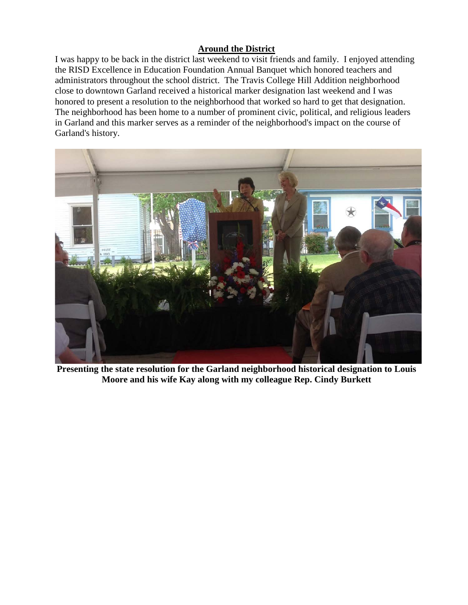## **Around the District**

I was happy to be back in the district last weekend to visit friends and family. I enjoyed attending the RISD Excellence in Education Foundation Annual Banquet which honored teachers and administrators throughout the school district. The Travis College Hill Addition neighborhood close to downtown Garland received a historical marker designation last weekend and I was honored to present a resolution to the neighborhood that worked so hard to get that designation. The neighborhood has been home to a number of prominent civic, political, and religious leaders in Garland and this marker serves as a reminder of the neighborhood's impact on the course of Garland's history.



**Presenting the state resolution for the Garland neighborhood historical designation to Louis Moore and his wife Kay along with my colleague Rep. Cindy Burkett**